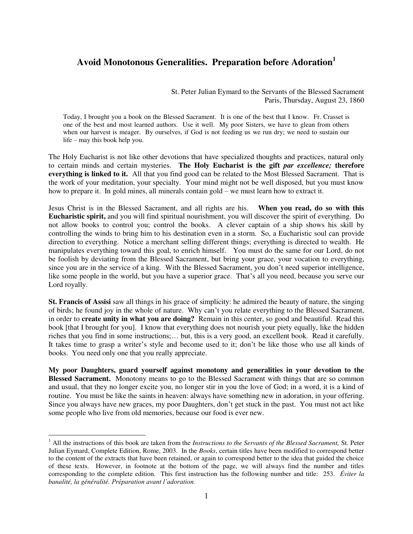## **Avoid Monotonous Generalities. Preparation before Adoration<sup>1</sup>**

St. Peter Julian Eymard to the Servants of the Blessed Sacrament Paris, Thursday, August 23, 1860

Today, I brought you a book on the Blessed Sacrament. It is one of the best that I know. Fr. Crasset is one of the best and most learned authors. Use it well. My poor Sisters, we have to glean from others when our harvest is meager. By ourselves, if God is not feeding us we run dry; we need to sustain our life – may this book help you.

The Holy Eucharist is not like other devotions that have specialized thoughts and practices, natural only to certain minds and certain mysteries. **The Holy Eucharist is the gift** *par excellence;* **therefore everything is linked to it.** All that you find good can be related to the Most Blessed Sacrament. That is the work of your meditation, your specialty. Your mind might not be well disposed, but you must know how to prepare it. In gold mines, all minerals contain gold – we must learn how to extract it.

Jesus Christ is in the Blessed Sacrament, and all rights are his. **When you read, do so with this Eucharistic spirit,** and you will find spiritual nourishment, you will discover the spirit of everything. Do not allow books to control you; control the books. A clever captain of a ship shows his skill by controlling the winds to bring him to his destination even in a storm. So, a Eucharistic soul can provide direction to everything. Notice a merchant selling different things; everything is directed to wealth. He manipulates everything toward this goal, to enrich himself. You must do the same for our Lord, do not be foolish by deviating from the Blessed Sacrament, but bring your grace, your vocation to everything, since you are in the service of a king. With the Blessed Sacrament, you don't need superior intelligence, like some people in the world, but you have a superior grace. That's all you need, because you serve our Lord royally.

**St. Francis of Assisi** saw all things in his grace of simplicity: he admired the beauty of nature, the singing of birds; he found joy in the whole of nature. Why can't you relate everything to the Blessed Sacrament, in order to **create unity in what you are doing?** Remain in this center, so good and beautiful. Read this book [that I brought for you]. I know that everything does not nourish your piety equally, like the hidden riches that you find in some instructions;… but, this is a very good, an excellent book. Read it carefully. It takes time to grasp a writer's style and become used to it; don't be like those who use all kinds of books. You need only one that you really appreciate.

**My poor Daughters, guard yourself against monotony and generalities in your devotion to the Blessed Sacrament.** Monotony means to go to the Blessed Sacrament with things that are so common and usual, that they no longer excite you, no longer stir in you the love of God; in a word, it is a kind of routine. You must be like the saints in heaven: always have something new in adoration, in your offering. Since you always have new graces, my poor Daughters, don't get stuck in the past. You must not act like some people who live from old memories, because our food is ever new.

 $\overline{a}$ 

<sup>&</sup>lt;sup>1</sup> All the instructions of this book are taken from the *Instructions to the Servants of the Blessed Sacrament*, St. Peter Julian Eymard, Complete Edition, Rome, 2003. In the *Books*, certain titles have been modified to correspond better to the content of the extracts that have been retained, or again to correspond better to the idea that guided the choice of these texts. However, in footnote at the bottom of the page, we will always find the number and titles corresponding to the complete edition. This first instruction has the following number and title: 253. *Éviter la banalité, la généralité. Préparation avant l'adoration.*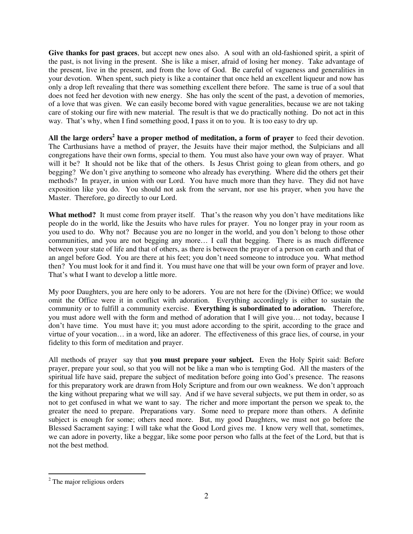**Give thanks for past graces**, but accept new ones also. A soul with an old-fashioned spirit, a spirit of the past, is not living in the present. She is like a miser, afraid of losing her money. Take advantage of the present, live in the present, and from the love of God. Be careful of vagueness and generalities in your devotion. When spent, such piety is like a container that once held an excellent liqueur and now has only a drop left revealing that there was something excellent there before. The same is true of a soul that does not feed her devotion with new energy. She has only the scent of the past, a devotion of memories, of a love that was given. We can easily become bored with vague generalities, because we are not taking care of stoking our fire with new material. The result is that we do practically nothing. Do not act in this way. That's why, when I find something good, I pass it on to you. It is too easy to dry up.

All the large orders<sup>2</sup> have a proper method of meditation, a form of prayer to feed their devotion. The Carthusians have a method of prayer, the Jesuits have their major method, the Sulpicians and all congregations have their own forms, special to them. You must also have your own way of prayer. What will it be? It should not be like that of the others. Is Jesus Christ going to glean from others, and go begging? We don't give anything to someone who already has everything. Where did the others get their methods? In prayer, in union with our Lord. You have much more than they have. They did not have exposition like you do. You should not ask from the servant, nor use his prayer, when you have the Master. Therefore, go directly to our Lord.

**What method?** It must come from prayer itself. That's the reason why you don't have meditations like people do in the world, like the Jesuits who have rules for prayer. You no longer pray in your room as you used to do. Why not? Because you are no longer in the world, and you don't belong to those other communities, and you are not begging any more… I call that begging. There is as much difference between your state of life and that of others, as there is between the prayer of a person on earth and that of an angel before God. You are there at his feet; you don't need someone to introduce you. What method then? You must look for it and find it. You must have one that will be your own form of prayer and love. That's what I want to develop a little more.

My poor Daughters, you are here only to be adorers. You are not here for the (Divine) Office; we would omit the Office were it in conflict with adoration. Everything accordingly is either to sustain the community or to fulfill a community exercise. **Everything is subordinated to adoration.** Therefore, you must adore well with the form and method of adoration that I will give you… not today, because I don't have time. You must have it; you must adore according to the spirit, according to the grace and virtue of your vocation… in a word, like an adorer. The effectiveness of this grace lies, of course, in your fidelity to this form of meditation and prayer.

All methods of prayer say that **you must prepare your subject.** Even the Holy Spirit said: Before prayer, prepare your soul, so that you will not be like a man who is tempting God. All the masters of the spiritual life have said, prepare the subject of meditation before going into God's presence. The reasons for this preparatory work are drawn from Holy Scripture and from our own weakness. We don't approach the king without preparing what we will say. And if we have several subjects, we put them in order, so as not to get confused in what we want to say. The richer and more important the person we speak to, the greater the need to prepare. Preparations vary. Some need to prepare more than others. A definite subject is enough for some; others need more. But, my good Daughters, we must not go before the Blessed Sacrament saying: I will take what the Good Lord gives me. I know very well that, sometimes, we can adore in poverty, like a beggar, like some poor person who falls at the feet of the Lord, but that is not the best method.

 $\overline{a}$ 

<sup>&</sup>lt;sup>2</sup> The major religious orders